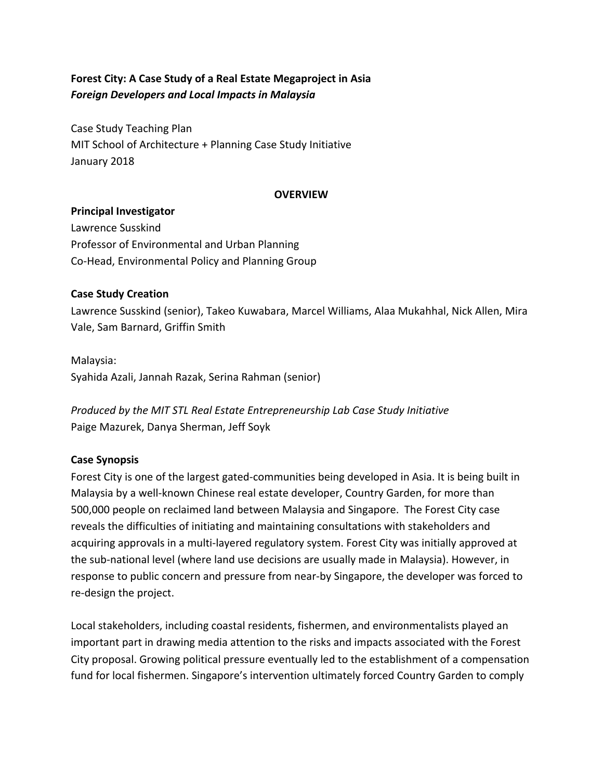# Forest City: A Case Study of a Real Estate Megaproject in Asia *Foreign Developers and Local Impacts in Malaysia*

Case Study Teaching Plan MIT School of Architecture + Planning Case Study Initiative January 2018

### **OVERVIEW**

### **Principal Investigator**

Lawrence Susskind Professor of Environmental and Urban Planning Co-Head, Environmental Policy and Planning Group

### **Case Study Creation**

Lawrence Susskind (senior), Takeo Kuwabara, Marcel Williams, Alaa Mukahhal, Nick Allen, Mira Vale, Sam Barnard, Griffin Smith

Malaysia: Syahida Azali, Jannah Razak, Serina Rahman (senior)

*Produced by the MIT STL Real Estate Entrepreneurship Lab Case Study Initiative* Paige Mazurek, Danya Sherman, Jeff Soyk

### **Case Synopsis**

Forest City is one of the largest gated-communities being developed in Asia. It is being built in Malaysia by a well-known Chinese real estate developer, Country Garden, for more than 500,000 people on reclaimed land between Malaysia and Singapore. The Forest City case reveals the difficulties of initiating and maintaining consultations with stakeholders and acquiring approvals in a multi-layered regulatory system. Forest City was initially approved at the sub-national level (where land use decisions are usually made in Malaysia). However, in response to public concern and pressure from near-by Singapore, the developer was forced to re-design the project.

Local stakeholders, including coastal residents, fishermen, and environmentalists played an important part in drawing media attention to the risks and impacts associated with the Forest City proposal. Growing political pressure eventually led to the establishment of a compensation fund for local fishermen. Singapore's intervention ultimately forced Country Garden to comply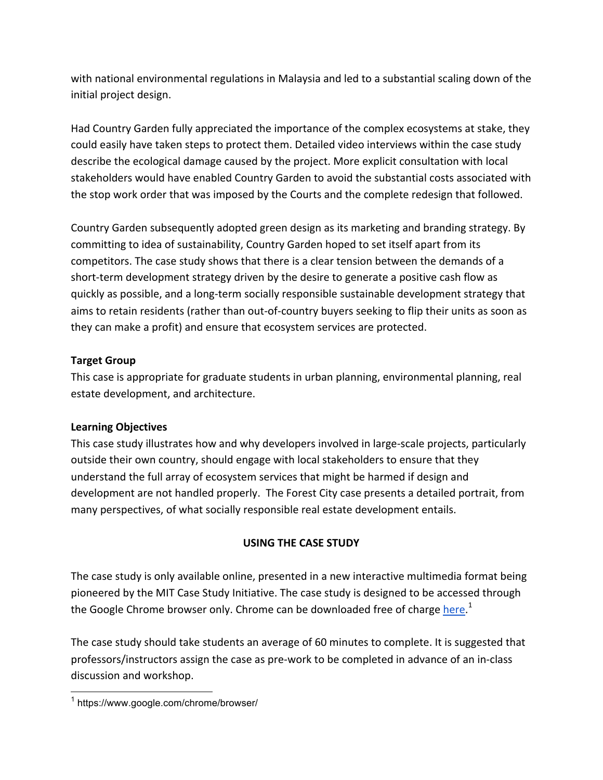with national environmental regulations in Malaysia and led to a substantial scaling down of the initial project design.

Had Country Garden fully appreciated the importance of the complex ecosystems at stake, they could easily have taken steps to protect them. Detailed video interviews within the case study describe the ecological damage caused by the project. More explicit consultation with local stakeholders would have enabled Country Garden to avoid the substantial costs associated with the stop work order that was imposed by the Courts and the complete redesign that followed.

Country Garden subsequently adopted green design as its marketing and branding strategy. By committing to idea of sustainability, Country Garden hoped to set itself apart from its competitors. The case study shows that there is a clear tension between the demands of a short-term development strategy driven by the desire to generate a positive cash flow as quickly as possible, and a long-term socially responsible sustainable development strategy that aims to retain residents (rather than out-of-country buyers seeking to flip their units as soon as they can make a profit) and ensure that ecosystem services are protected.

### **Target Group**

This case is appropriate for graduate students in urban planning, environmental planning, real estate development, and architecture.

## **Learning Objectives**

This case study illustrates how and why developers involved in large-scale projects, particularly outside their own country, should engage with local stakeholders to ensure that they understand the full array of ecosystem services that might be harmed if design and development are not handled properly. The Forest City case presents a detailed portrait, from many perspectives, of what socially responsible real estate development entails.

## **USING THE CASE STUDY**

The case study is only available online, presented in a new interactive multimedia format being pioneered by the MIT Case Study Initiative. The case study is designed to be accessed through the Google Chrome browser only. Chrome can be downloaded free of charge <u>here.</u><sup>1</sup>

The case study should take students an average of 60 minutes to complete. It is suggested that professors/instructors assign the case as pre-work to be completed in advance of an in-class discussion and workshop.

 <sup>1</sup> https://www.google.com/chrome/browser/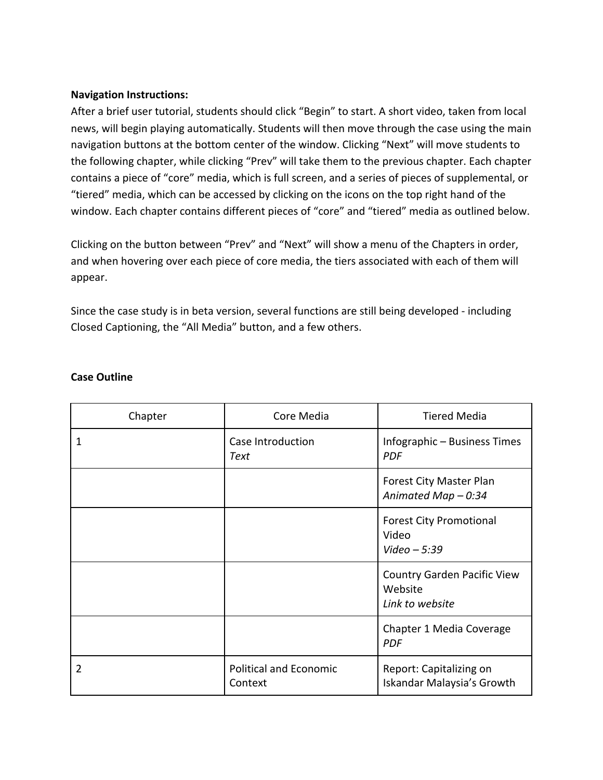### **Navigation Instructions:**

After a brief user tutorial, students should click "Begin" to start. A short video, taken from local news, will begin playing automatically. Students will then move through the case using the main navigation buttons at the bottom center of the window. Clicking "Next" will move students to the following chapter, while clicking "Prev" will take them to the previous chapter. Each chapter contains a piece of "core" media, which is full screen, and a series of pieces of supplemental, or "tiered" media, which can be accessed by clicking on the icons on the top right hand of the window. Each chapter contains different pieces of "core" and "tiered" media as outlined below.

Clicking on the button between "Prev" and "Next" will show a menu of the Chapters in order, and when hovering over each piece of core media, the tiers associated with each of them will appear.

Since the case study is in beta version, several functions are still being developed - including Closed Captioning, the "All Media" button, and a few others.

| Chapter | Core Media                               | <b>Tiered Media</b>                                              |
|---------|------------------------------------------|------------------------------------------------------------------|
| 1       | Case Introduction<br>Text                | Infographic - Business Times<br><b>PDF</b>                       |
|         |                                          | Forest City Master Plan<br>Animated Map $-0.34$                  |
|         |                                          | <b>Forest City Promotional</b><br>Video<br>Video $-5:39$         |
|         |                                          | <b>Country Garden Pacific View</b><br>Website<br>Link to website |
|         |                                          | Chapter 1 Media Coverage<br><b>PDF</b>                           |
| 2       | <b>Political and Economic</b><br>Context | Report: Capitalizing on<br>Iskandar Malaysia's Growth            |

### **Case Outline**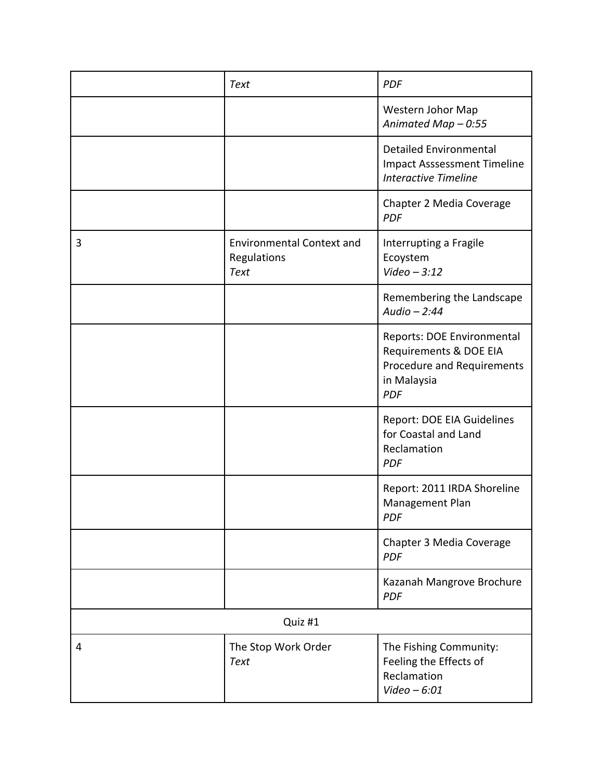|         | <b>Text</b>                                                    | <b>PDF</b>                                                                                                             |  |
|---------|----------------------------------------------------------------|------------------------------------------------------------------------------------------------------------------------|--|
|         |                                                                | Western Johor Map<br>Animated Map - 0:55                                                                               |  |
|         |                                                                | <b>Detailed Environmental</b><br><b>Impact Asssessment Timeline</b><br><b>Interactive Timeline</b>                     |  |
|         |                                                                | Chapter 2 Media Coverage<br><b>PDF</b>                                                                                 |  |
| 3       | <b>Environmental Context and</b><br>Regulations<br><b>Text</b> | Interrupting a Fragile<br>Ecoystem<br>Video $-3:12$                                                                    |  |
|         |                                                                | Remembering the Landscape<br>Audio $-2:44$                                                                             |  |
|         |                                                                | <b>Reports: DOE Environmental</b><br>Requirements & DOE EIA<br>Procedure and Requirements<br>in Malaysia<br><b>PDF</b> |  |
|         |                                                                | Report: DOE EIA Guidelines<br>for Coastal and Land<br>Reclamation<br><b>PDF</b>                                        |  |
|         |                                                                | Report: 2011 IRDA Shoreline<br>Management Plan<br><b>PDF</b>                                                           |  |
|         |                                                                | Chapter 3 Media Coverage<br><b>PDF</b>                                                                                 |  |
|         |                                                                | Kazanah Mangrove Brochure<br><b>PDF</b>                                                                                |  |
| Quiz #1 |                                                                |                                                                                                                        |  |
| 4       | The Stop Work Order<br><b>Text</b>                             | The Fishing Community:<br>Feeling the Effects of<br>Reclamation<br>Video $-6:01$                                       |  |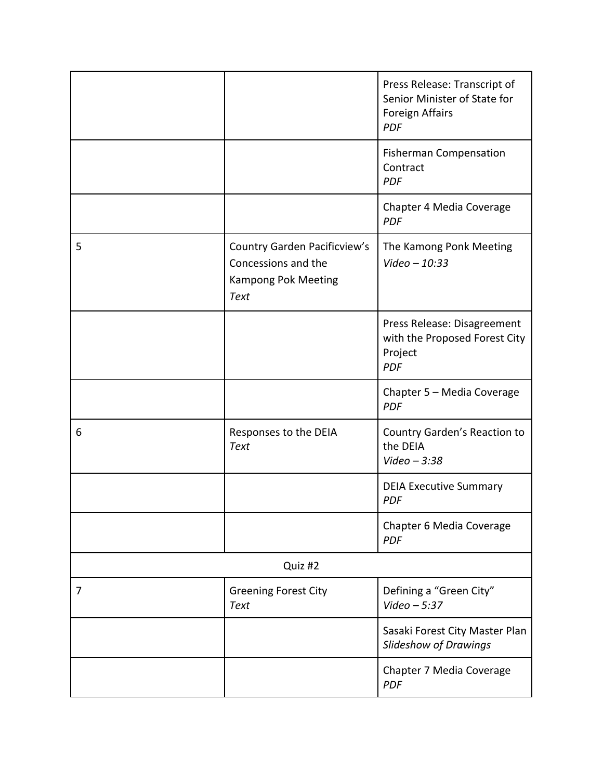|                |                                                                                                         | Press Release: Transcript of<br>Senior Minister of State for<br><b>Foreign Affairs</b><br><b>PDF</b> |  |
|----------------|---------------------------------------------------------------------------------------------------------|------------------------------------------------------------------------------------------------------|--|
|                |                                                                                                         | <b>Fisherman Compensation</b><br>Contract<br><b>PDF</b>                                              |  |
|                |                                                                                                         | Chapter 4 Media Coverage<br><b>PDF</b>                                                               |  |
| 5              | <b>Country Garden Pacificview's</b><br>Concessions and the<br><b>Kampong Pok Meeting</b><br><b>Text</b> | The Kamong Ponk Meeting<br>Video $-10:33$                                                            |  |
|                |                                                                                                         | Press Release: Disagreement<br>with the Proposed Forest City<br>Project<br><b>PDF</b>                |  |
|                |                                                                                                         | Chapter 5 - Media Coverage<br><b>PDF</b>                                                             |  |
| 6              | Responses to the DEIA<br><b>Text</b>                                                                    | Country Garden's Reaction to<br>the DEIA<br>Video $-3:38$                                            |  |
|                |                                                                                                         | <b>DEIA Executive Summary</b><br><b>PDF</b>                                                          |  |
|                |                                                                                                         | Chapter 6 Media Coverage<br><b>PDF</b>                                                               |  |
| Quiz #2        |                                                                                                         |                                                                                                      |  |
| $\overline{7}$ | <b>Greening Forest City</b><br><b>Text</b>                                                              | Defining a "Green City"<br>Video $-5:37$                                                             |  |
|                |                                                                                                         | Sasaki Forest City Master Plan<br><b>Slideshow of Drawings</b>                                       |  |
|                |                                                                                                         | Chapter 7 Media Coverage<br><b>PDF</b>                                                               |  |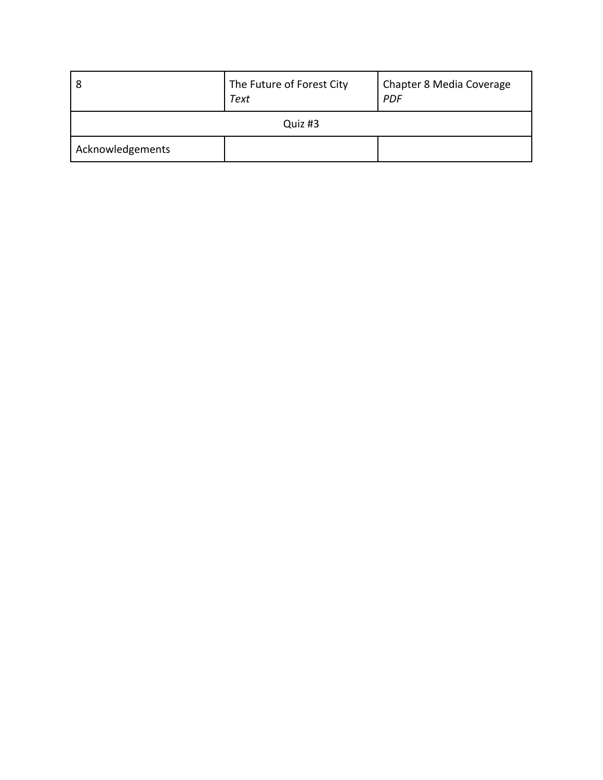| l 8              | The Future of Forest City<br>Text | <b>Chapter 8 Media Coverage</b><br><b>PDF</b> |  |  |
|------------------|-----------------------------------|-----------------------------------------------|--|--|
| Quiz #3          |                                   |                                               |  |  |
| Acknowledgements |                                   |                                               |  |  |